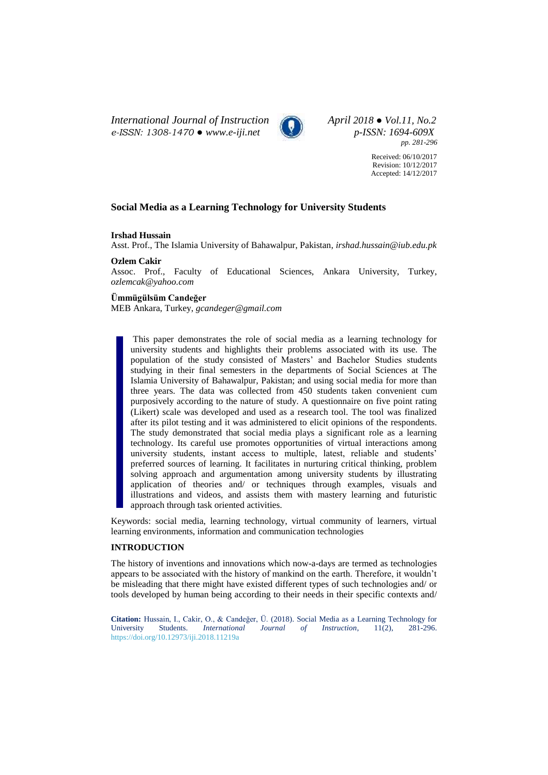*International Journal of Instruction April 2018 ● Vol.11, No.2 e-ISSN: 1308-1470 ● [www.e-iji.net](http://www.e-iji.net/) p-ISSN: 1694-609X*



*pp. 281-296*

Received: 06/10/2017 Revision: 10/12/2017 Accepted: 14/12/2017

# **Social Media as a Learning Technology for University Students**

### **Irshad Hussain**

Asst. Prof., The Islamia University of Bahawalpur, Pakistan, *irshad.hussain@iub.edu.pk*

### **Ozlem Cakir**

Assoc. Prof., Faculty of Educational Sciences, Ankara University, Turkey, *ozlemcak@yahoo.com*

# **Ümmügülsüm Candeğer**

MEB Ankara, Turkey, *gcandeger@gmail.com*

This paper demonstrates the role of social media as a learning technology for university students and highlights their problems associated with its use. The population of the study consisted of Masters' and Bachelor Studies students studying in their final semesters in the departments of Social Sciences at The Islamia University of Bahawalpur, Pakistan; and using social media for more than three years. The data was collected from 450 students taken convenient cum purposively according to the nature of study. A questionnaire on five point rating (Likert) scale was developed and used as a research tool. The tool was finalized after its pilot testing and it was administered to elicit opinions of the respondents. The study demonstrated that social media plays a significant role as a learning technology. Its careful use promotes opportunities of virtual interactions among university students, instant access to multiple, latest, reliable and students' preferred sources of learning. It facilitates in nurturing critical thinking, problem solving approach and argumentation among university students by illustrating application of theories and/ or techniques through examples, visuals and illustrations and videos, and assists them with mastery learning and futuristic approach through task oriented activities.

Keywords: social media, learning technology, virtual community of learners, virtual learning environments, information and communication technologies

# **INTRODUCTION**

The history of inventions and innovations which now-a-days are termed as technologies appears to be associated with the history of mankind on the earth. Therefore, it wouldn't be misleading that there might have existed different types of such technologies and/ or tools developed by human being according to their needs in their specific contexts and/

**Citation:** Hussain, I., Cakir, O., & Candeğer, Ü. (2018). Social Media as a Learning Technology for University Students. *International Journal of Instruction*, 11(2), 281-296. <https://doi.org/10.12973/iji.2018.11219a>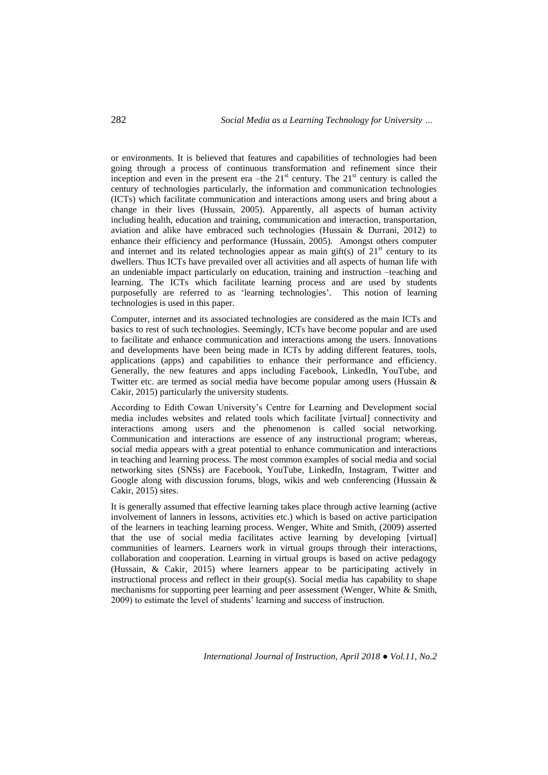or environments. It is believed that features and capabilities of technologies had been going through a process of continuous transformation and refinement since their inception and even in the present era –the  $21<sup>st</sup>$  century. The  $21<sup>st</sup>$  century is called the century of technologies particularly, the information and communication technologies (ICTs) which facilitate communication and interactions among users and bring about a change in their lives (Hussain, 2005). Apparently, all aspects of human activity including health, education and training, communication and interaction, transportation, aviation and alike have embraced such technologies (Hussain & Durrani, 2012) to enhance their efficiency and performance (Hussain, 2005). Amongst others computer and internet and its related technologies appear as main gift(s) of  $21<sup>st</sup>$  century to its dwellers. Thus ICTs have prevailed over all activities and all aspects of human life with an undeniable impact particularly on education, training and instruction –teaching and learning. The ICTs which facilitate learning process and are used by students purposefully are referred to as 'learning technologies'. This notion of learning technologies is used in this paper.

Computer, internet and its associated technologies are considered as the main ICTs and basics to rest of such technologies. Seemingly, ICTs have become popular and are used to facilitate and enhance communication and interactions among the users. Innovations and developments have been being made in ICTs by adding different features, tools, applications (apps) and capabilities to enhance their performance and efficiency. Generally, the new features and apps including Facebook, LinkedIn, YouTube, and Twitter etc. are termed as social media have become popular among users (Hussain & Cakir, 2015) particularly the university students.

According to Edith Cowan University's Centre for Learning and Development social media includes websites and related tools which facilitate [virtual] connectivity and interactions among users and the phenomenon is called social networking. Communication and interactions are essence of any instructional program; whereas, social media appears with a great potential to enhance communication and interactions in teaching and learning process. The most common examples of social media and social networking sites (SNSs) are Facebook, YouTube, LinkedIn, Instagram, Twitter and Google along with discussion forums, blogs, wikis and web conferencing (Hussain  $\&$ Cakir, 2015) sites.

It is generally assumed that effective learning takes place through active learning (active involvement of lanners in lessons, activities etc.) which is based on active participation of the learners in teaching learning process. Wenger, White and Smith, (2009) asserted that the use of social media facilitates active learning by developing [virtual] communities of learners. Learners work in virtual groups through their interactions, collaboration and cooperation. Learning in virtual groups is based on active pedagogy (Hussain, & Cakir, 2015) where learners appear to be participating actively in instructional process and reflect in their group(s). Social media has capability to shape mechanisms for supporting peer learning and peer assessment (Wenger, White & Smith, 2009) to estimate the level of students' learning and success of instruction.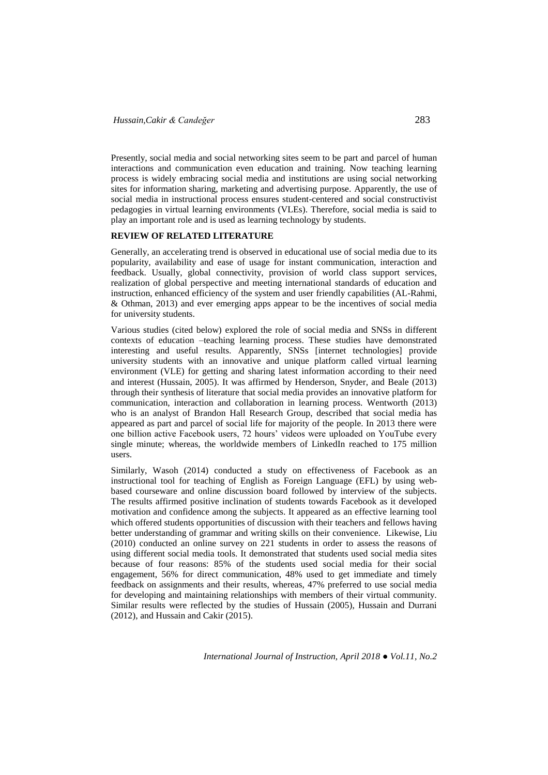Presently, social media and social networking sites seem to be part and parcel of human interactions and communication even education and training. Now teaching learning process is widely embracing social media and institutions are using social networking sites for information sharing, marketing and advertising purpose. Apparently, the use of social media in instructional process ensures student-centered and social constructivist pedagogies in virtual learning environments (VLEs). Therefore, social media is said to play an important role and is used as learning technology by students.

# **REVIEW OF RELATED LITERATURE**

Generally, an accelerating trend is observed in educational use of social media due to its popularity, availability and ease of usage for instant communication, interaction and feedback. Usually, global connectivity, provision of world class support services, realization of global perspective and meeting international standards of education and instruction, enhanced efficiency of the system and user friendly capabilities (AL-Rahmi, & Othman, 2013) and ever emerging apps appear to be the incentives of social media for university students.

Various studies (cited below) explored the role of social media and SNSs in different contexts of education –teaching learning process. These studies have demonstrated interesting and useful results. Apparently, SNSs [internet technologies] provide university students with an innovative and unique platform called virtual learning environment (VLE) for getting and sharing latest information according to their need and interest (Hussain, 2005). It was affirmed by Henderson, Snyder, and Beale (2013) through their synthesis of literature that social media provides an innovative platform for communication, interaction and collaboration in learning process. Wentworth (2013) who is an analyst of Brandon Hall Research Group, described that social media has appeared as part and parcel of social life for majority of the people. In 2013 there were one billion active Facebook users, 72 hours' videos were uploaded on YouTube every single minute; whereas, the worldwide members of LinkedIn reached to 175 million users.

Similarly, Wasoh (2014) conducted a study on effectiveness of Facebook as an instructional tool for teaching of English as Foreign Language (EFL) by using webbased courseware and online discussion board followed by interview of the subjects. The results affirmed positive inclination of students towards Facebook as it developed motivation and confidence among the subjects. It appeared as an effective learning tool which offered students opportunities of discussion with their teachers and fellows having better understanding of grammar and writing skills on their convenience. Likewise, Liu (2010) conducted an online survey on 221 students in order to assess the reasons of using different social media tools. It demonstrated that students used social media sites because of four reasons: 85% of the students used social media for their social engagement, 56% for direct communication, 48% used to get immediate and timely feedback on assignments and their results, whereas, 47% preferred to use social media for developing and maintaining relationships with members of their virtual community. Similar results were reflected by the studies of Hussain (2005), Hussain and Durrani (2012), and Hussain and Cakir (2015).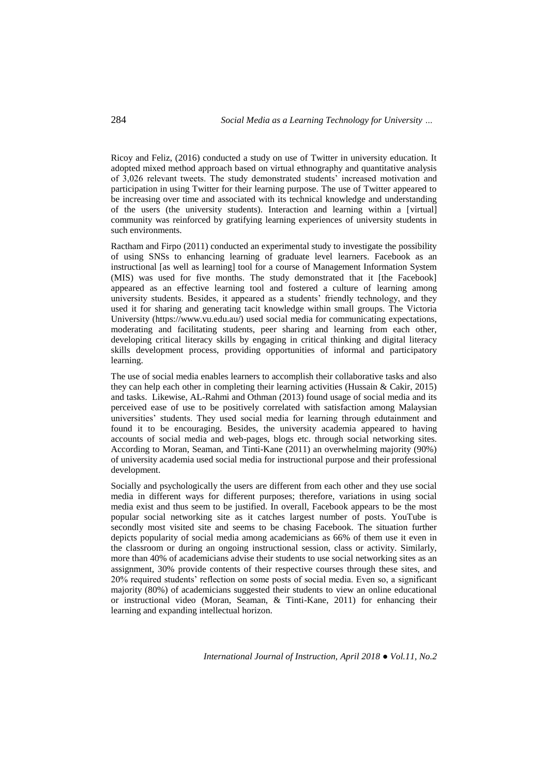Ricoy and Feliz, (2016) conducted a study on use of Twitter in university education. It adopted mixed method approach based on virtual ethnography and quantitative analysis of 3,026 relevant tweets. The study demonstrated students' increased motivation and participation in using Twitter for their learning purpose. The use of Twitter appeared to be increasing over time and associated with its technical knowledge and understanding of the users (the university students). Interaction and learning within a [virtual] community was reinforced by gratifying learning experiences of university students in such environments.

Ractham and Firpo (2011) conducted an experimental study to investigate the possibility of using SNSs to enhancing learning of graduate level learners. Facebook as an instructional [as well as learning] tool for a course of Management Information System (MIS) was used for five months. The study demonstrated that it [the Facebook] appeared as an effective learning tool and fostered a culture of learning among university students. Besides, it appeared as a students' friendly technology, and they used it for sharing and generating tacit knowledge within small groups. The Victoria University [\(https://www.vu.edu.au/\)](https://www.vu.edu.au/) used social media for communicating expectations, moderating and facilitating students, peer sharing and learning from each other, developing critical literacy skills by engaging in critical thinking and digital literacy skills development process, providing opportunities of informal and participatory learning.

The use of social media enables learners to accomplish their collaborative tasks and also they can help each other in completing their learning activities (Hussain & Cakir, 2015) and tasks. Likewise, AL-Rahmi and Othman (2013) found usage of social media and its perceived ease of use to be positively correlated with satisfaction among Malaysian universities' students. They used social media for learning through edutainment and found it to be encouraging. Besides, the university academia appeared to having accounts of social media and web-pages, blogs etc. through social networking sites. According to Moran, Seaman, and Tinti-Kane (2011) an overwhelming majority (90%) of university academia used social media for instructional purpose and their professional development.

Socially and psychologically the users are different from each other and they use social media in different ways for different purposes; therefore, variations in using social media exist and thus seem to be justified. In overall, Facebook appears to be the most popular social networking site as it catches largest number of posts. YouTube is secondly most visited site and seems to be chasing Facebook. The situation further depicts popularity of social media among academicians as 66% of them use it even in the classroom or during an ongoing instructional session, class or activity. Similarly, more than 40% of academicians advise their students to use social networking sites as an assignment, 30% provide contents of their respective courses through these sites, and 20% required students' reflection on some posts of social media. Even so, a significant majority (80%) of academicians suggested their students to view an online educational or instructional video (Moran, Seaman, & Tinti-Kane, 2011) for enhancing their learning and expanding intellectual horizon.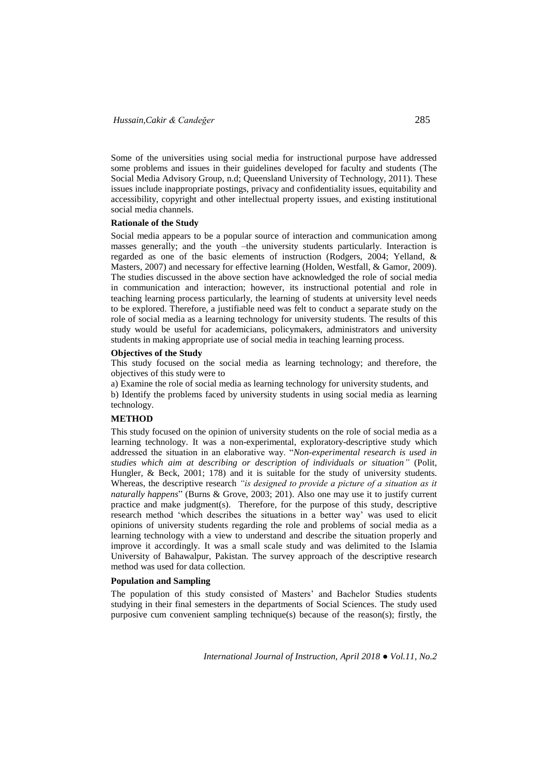Some of the universities using social media for instructional purpose have addressed some problems and issues in their guidelines developed for faculty and students (The Social Media Advisory Group, n.d; Queensland University of Technology, 2011). These issues include inappropriate postings, privacy and confidentiality issues, equitability and accessibility, copyright and other intellectual property issues, and existing institutional social media channels.

#### **Rationale of the Study**

Social media appears to be a popular source of interaction and communication among masses generally; and the youth –the university students particularly. Interaction is regarded as one of the basic elements of instruction (Rodgers, 2004; Yelland, & Masters, 2007) and necessary for effective learning (Holden, Westfall, & Gamor, 2009). The studies discussed in the above section have acknowledged the role of social media in communication and interaction; however, its instructional potential and role in teaching learning process particularly, the learning of students at university level needs to be explored. Therefore, a justifiable need was felt to conduct a separate study on the role of social media as a learning technology for university students. The results of this study would be useful for academicians, policymakers, administrators and university students in making appropriate use of social media in teaching learning process.

#### **Objectives of the Study**

This study focused on the social media as learning technology; and therefore, the objectives of this study were to

a) Examine the role of social media as learning technology for university students, and b) Identify the problems faced by university students in using social media as learning technology.

# **METHOD**

This study focused on the opinion of university students on the role of social media as a learning technology. It was a non-experimental, exploratory-descriptive study which addressed the situation in an elaborative way. "*Non-experimental research is used in studies which aim at describing or description of individuals or situation"* (Polit, Hungler, & Beck, 2001; 178) and it is suitable for the study of university students. Whereas, the descriptive research *"is designed to provide a picture of a situation as it naturally happens*" (Burns & Grove, 2003; 201). Also one may use it to justify current practice and make judgment(s). Therefore, for the purpose of this study, descriptive research method 'which describes the situations in a better way' was used to elicit opinions of university students regarding the role and problems of social media as a learning technology with a view to understand and describe the situation properly and improve it accordingly. It was a small scale study and was delimited to the Islamia University of Bahawalpur, Pakistan. The survey approach of the descriptive research method was used for data collection.

#### **Population and Sampling**

The population of this study consisted of Masters' and Bachelor Studies students studying in their final semesters in the departments of Social Sciences. The study used purposive cum convenient sampling technique(s) because of the reason(s); firstly, the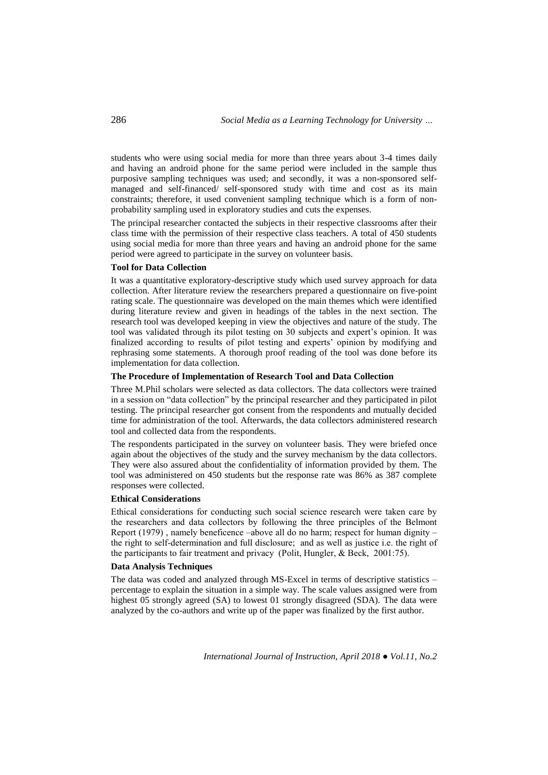students who were using social media for more than three years about 3-4 times daily and having an android phone for the same period were included in the sample thus purposive sampling techniques was used; and secondly, it was a non-sponsored selfmanaged and self-financed/ self-sponsored study with time and cost as its main constraints; therefore, it used convenient sampling technique which is a form of nonprobability sampling used in exploratory studies and cuts the expenses.

The principal researcher contacted the subjects in their respective classrooms after their class time with the permission of their respective class teachers. A total of 450 students using social media for more than three years and having an android phone for the same period were agreed to participate in the survey on volunteer basis.

#### **Tool for Data Collection**

It was a quantitative exploratory-descriptive study which used survey approach for data collection. After literature review the researchers prepared a questionnaire on five-point rating scale. The questionnaire was developed on the main themes which were identified during literature review and given in headings of the tables in the next section. The research tool was developed keeping in view the objectives and nature of the study. The tool was validated through its pilot testing on 30 subjects and expert's opinion. It was finalized according to results of pilot testing and experts' opinion by modifying and rephrasing some statements. A thorough proof reading of the tool was done before its implementation for data collection.

### **The Procedure of Implementation of Research Tool and Data Collection**

Three M.Phil scholars were selected as data collectors. The data collectors were trained in a session on "data collection" by the principal researcher and they participated in pilot testing. The principal researcher got consent from the respondents and mutually decided time for administration of the tool. Afterwards, the data collectors administered research tool and collected data from the respondents.

The respondents participated in the survey on volunteer basis. They were briefed once again about the objectives of the study and the survey mechanism by the data collectors. They were also assured about the confidentiality of information provided by them. The tool was administered on 450 students but the response rate was 86% as 387 complete responses were collected.

# **Ethical Considerations**

Ethical considerations for conducting such social science research were taken care by the researchers and data collectors by following the three principles of the Belmont Report (1979) , namely beneficence –above all do no harm; respect for human dignity – the right to self-determination and full disclosure; and as well as justice i.e. the right of the participants to fair treatment and privacy (Polit, Hungler, & Beck, 2001:75).

#### **Data Analysis Techniques**

The data was coded and analyzed through MS-Excel in terms of descriptive statistics – percentage to explain the situation in a simple way. The scale values assigned were from highest 05 strongly agreed (SA) to lowest 01 strongly disagreed (SDA). The data were analyzed by the co-authors and write up of the paper was finalized by the first author.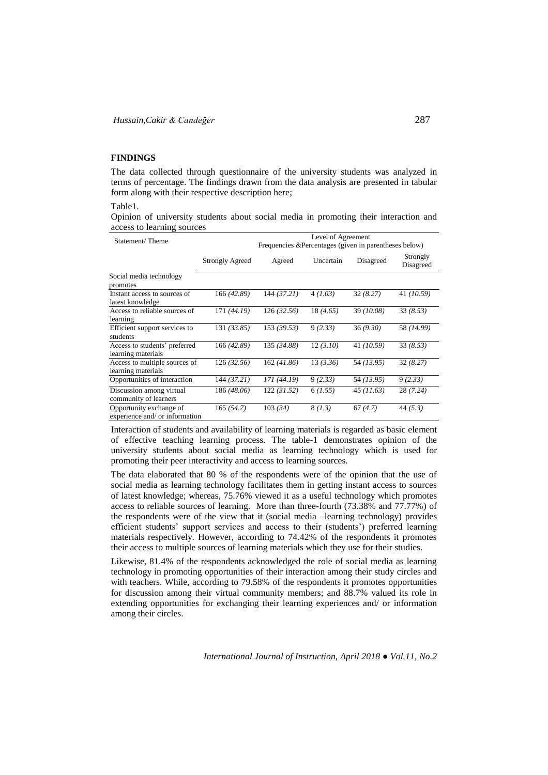#### **FINDINGS**

The data collected through questionnaire of the university students was analyzed in terms of percentage. The findings drawn from the data analysis are presented in tabular form along with their respective description here;

Table1.

Opinion of university students about social media in promoting their interaction and access to learning sources

| Statement/Theme                                           |                        | Frequencies & Percentages (given in parentheses below) | Level of Agreement |            |                       |
|-----------------------------------------------------------|------------------------|--------------------------------------------------------|--------------------|------------|-----------------------|
|                                                           | <b>Strongly Agreed</b> | Agreed                                                 | Uncertain          | Disagreed  | Strongly<br>Disagreed |
| Social media technology<br>promotes                       |                        |                                                        |                    |            |                       |
| Instant access to sources of<br>latest knowledge          | 166 (42.89)            | 144 (37.21)                                            | 4(1.03)            | 32(8.27)   | 41 (10.59)            |
| Access to reliable sources of<br>learning                 | 171 (44.19)            | 126 (32.56)                                            | 18 (4.65)          | 39 (10.08) | 33(8.53)              |
| Efficient support services to<br>students                 | 131 (33.85)            | 153(39.53)                                             | 9(2.33)            | 36(9.30)   | 58 (14.99)            |
| Access to students' preferred<br>learning materials       | 166 (42.89)            | 135 (34.88)                                            | 12(3.10)           | 41 (10.59) | 33(8.53)              |
| Access to multiple sources of<br>learning materials       | 126(32.56)             | 162(41.86)                                             | 13(3.36)           | 54 (13.95) | 32(8.27)              |
| Opportunities of interaction                              | 144 (37.21)            | 171 (44.19)                                            | 9(2.33)            | 54 (13.95) | 9(2.33)               |
| Discussion among virtual<br>community of learners         | 186 (48.06)            | 122 (31.52)                                            | 6(1.55)            | 45(11.63)  | 28 (7.24)             |
| Opportunity exchange of<br>experience and/ or information | 165(54.7)              | 103(34)                                                | 8(1.3)             | 67(4.7)    | 44(5.3)               |

Interaction of students and availability of learning materials is regarded as basic element of effective teaching learning process. The table-1 demonstrates opinion of the university students about social media as learning technology which is used for promoting their peer interactivity and access to learning sources.

The data elaborated that 80 % of the respondents were of the opinion that the use of social media as learning technology facilitates them in getting instant access to sources of latest knowledge; whereas, 75.76% viewed it as a useful technology which promotes access to reliable sources of learning. More than three-fourth (73.38% and 77.77%) of the respondents were of the view that it (social media –learning technology) provides efficient students' support services and access to their (students') preferred learning materials respectively. However, according to 74.42% of the respondents it promotes their access to multiple sources of learning materials which they use for their studies.

Likewise, 81.4% of the respondents acknowledged the role of social media as learning technology in promoting opportunities of their interaction among their study circles and with teachers. While, according to 79.58% of the respondents it promotes opportunities for discussion among their virtual community members; and 88.7% valued its role in extending opportunities for exchanging their learning experiences and/ or information among their circles.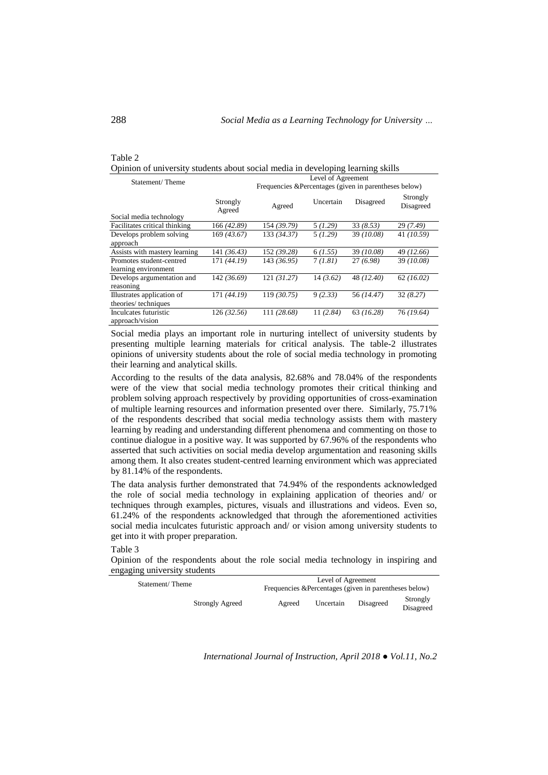#### Table 2 Opinion of university students about social media in developing learning skills

| Statement/Theme                                    |                    | Level of Agreement<br>Frequencies & Percentages (given in parentheses below) |           |            |                       |
|----------------------------------------------------|--------------------|------------------------------------------------------------------------------|-----------|------------|-----------------------|
|                                                    | Strongly<br>Agreed | Agreed                                                                       | Uncertain | Disagreed  | Strongly<br>Disagreed |
| Social media technology                            |                    |                                                                              |           |            |                       |
| Facilitates critical thinking                      | 166 (42.89)        | 154 (39.79)                                                                  | 5(1.29)   | 33(8.53)   | 29 (7.49)             |
| Develops problem solving<br>approach               | 169 (43.67)        | 133 (34.37)                                                                  | 5(1.29)   | 39(10.08)  | 41 (10.59)            |
| Assists with mastery learning                      | 141 (36.43)        | 152 (39.28)                                                                  | 6(1.55)   | 39(10.08)  | 49 (12.66)            |
| Promotes student-centred<br>learning environment   | 171 (44.19)        | 143 (36.95)                                                                  | 7(1.81)   | 27(6.98)   | 39 (10.08)            |
| Develops argumentation and<br>reasoning            | 142 (36.69)        | 121(31.27)                                                                   | 14(3.62)  | 48 (12.40) | 62(16.02)             |
| Illustrates application of<br>theories/ techniques | 171 (44.19)        | 119(30.75)                                                                   | 9(2.33)   | 56 (14.47) | 32(8.27)              |
| Inculcates futuristic<br>approach/vision           | 126(32.56)         | 111 (28.68)                                                                  | 11(2.84)  | 63(16.28)  | 76 (19.64)            |

Social media plays an important role in nurturing intellect of university students by presenting multiple learning materials for critical analysis. The table-2 illustrates opinions of university students about the role of social media technology in promoting their learning and analytical skills.

According to the results of the data analysis, 82.68% and 78.04% of the respondents were of the view that social media technology promotes their critical thinking and problem solving approach respectively by providing opportunities of cross-examination of multiple learning resources and information presented over there. Similarly, 75.71% of the respondents described that social media technology assists them with mastery learning by reading and understanding different phenomena and commenting on those to continue dialogue in a positive way. It was supported by 67.96% of the respondents who asserted that such activities on social media develop argumentation and reasoning skills among them. It also creates student-centred learning environment which was appreciated by 81.14% of the respondents.

The data analysis further demonstrated that 74.94% of the respondents acknowledged the role of social media technology in explaining application of theories and/ or techniques through examples, pictures, visuals and illustrations and videos. Even so, 61.24% of the respondents acknowledged that through the aforementioned activities social media inculcates futuristic approach and/ or vision among university students to get into it with proper preparation.

Table 3

Opinion of the respondents about the role social media technology in inspiring and engaging university students

| Statement/Theme        |        | Level of Agreement<br>Frequencies & Percentages (given in parentheses below) |           |                       |  |
|------------------------|--------|------------------------------------------------------------------------------|-----------|-----------------------|--|
| <b>Strongly Agreed</b> | Agreed | Uncertain                                                                    | Disagreed | Strongly<br>Disagreed |  |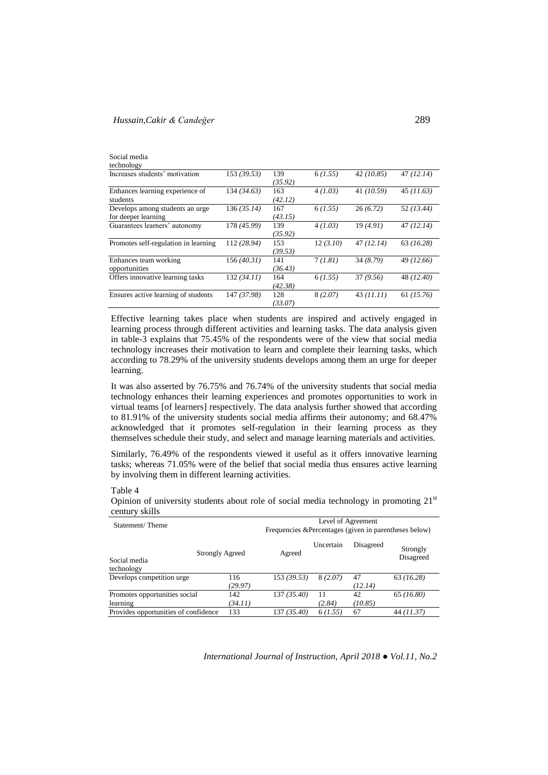# *Hussain,Cakir & Candeğer* 289

| Social media<br>technology                             |             |                |          |           |            |
|--------------------------------------------------------|-------------|----------------|----------|-----------|------------|
| Increases students' motivation                         | 153(39.53)  | 139<br>(35.92) | 6(1.55)  | 42(10.85) | 47(12.14)  |
| Enhances learning experience of<br>students            | 134(34.63)  | 163<br>(42.12) | 4(1.03)  | 41(10.59) | 45(11.63)  |
| Develops among students an urge<br>for deeper learning | 136(35.14)  | 167<br>(43.15) | 6(1.55)  | 26(6.72)  | 52 (13.44) |
| Guarantees learners' autonomy                          | 178 (45.99) | 139<br>(35.92) | 4(1.03)  | 19(4.91)  | 47(12.14)  |
| Promotes self-regulation in learning                   | 112 (28.94) | 153<br>(39.53) | 12(3.10) | 47(12.14) | 63(16.28)  |
| Enhances team working<br>opportunities                 | 156(40.31)  | 141<br>(36.43) | 7(1.81)  | 34 (8.79) | 49 (12.66) |
| Offers innovative learning tasks                       | 132 (34.11) | 164<br>(42.38) | 6(1.55)  | 37(9.56)  | 48 (12.40) |
| Ensures active learning of students                    | 147 (37.98) | 128<br>(33.07) | 8(2.07)  | 43(11.11) | 61 (15.76) |

Effective learning takes place when students are inspired and actively engaged in learning process through different activities and learning tasks. The data analysis given in table-3 explains that 75.45% of the respondents were of the view that social media technology increases their motivation to learn and complete their learning tasks, which according to 78.29% of the university students develops among them an urge for deeper learning.

It was also asserted by 76.75% and 76.74% of the university students that social media technology enhances their learning experiences and promotes opportunities to work in virtual teams [of learners] respectively. The data analysis further showed that according to 81.91% of the university students social media affirms their autonomy; and 68.47% acknowledged that it promotes self-regulation in their learning process as they themselves schedule their study, and select and manage learning materials and activities.

Similarly, 76.49% of the respondents viewed it useful as it offers innovative learning tasks; whereas 71.05% were of the belief that social media thus ensures active learning by involving them in different learning activities.

#### Table 4

Opinion of university students about role of social media technology in promoting  $21<sup>st</sup>$ century skills

| $\mathbf{v}$ $\mathbf{v}$ $\mathbf{v}$    |                                                                              |             |              |               |                       |
|-------------------------------------------|------------------------------------------------------------------------------|-------------|--------------|---------------|-----------------------|
| Statement/Theme                           | Level of Agreement<br>Frequencies & Percentages (given in parentheses below) |             |              |               |                       |
| Social media<br>technology                | <b>Strongly Agreed</b>                                                       | Agreed      | Uncertain    | Disagreed     | Strongly<br>Disagreed |
| Develops competition urge                 | 116<br>(29.97)                                                               | 153(39.53)  | 8(2.07)      | 47<br>(12.14) | 63(16.28)             |
| Promotes opportunities social<br>learning | 142<br>(34.11)                                                               | 137 (35.40) | 11<br>(2.84) | 42<br>(10.85) | 65(16.80)             |
| Provides opportunities of confidence      | 133                                                                          | 137 (35.40) | 6(1.55)      | 67            | 44 (11.37)            |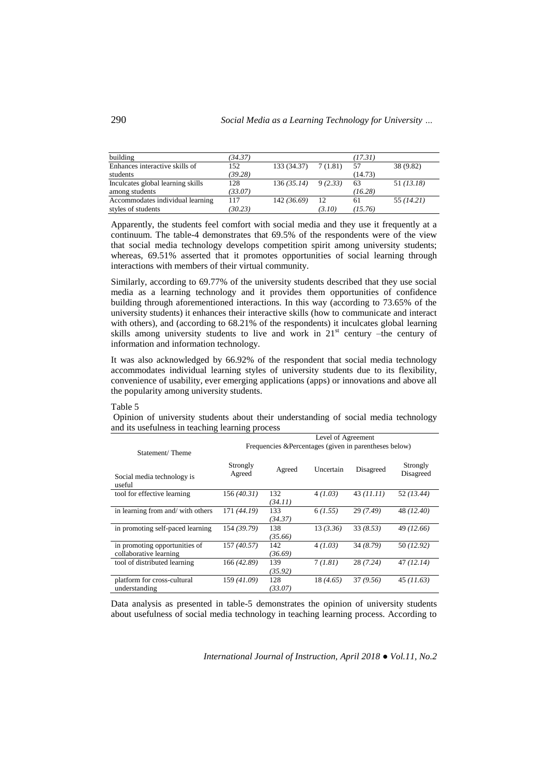| building                          | (34.37) |                        |         | (17.31) |            |
|-----------------------------------|---------|------------------------|---------|---------|------------|
| Enhances interactive skills of    | 152     | $133(34.37)$ $7(1.81)$ |         | 57      | 38 (9.82)  |
| students                          | (39.28) |                        |         | (14.73) |            |
| Inculcates global learning skills | 128     | 136(35.14)             | 9(2.33) | 63      | 51 (13.18) |
| among students                    | (33.07) |                        |         | (16.28) |            |
| Accommodates individual learning  | 117     | 142 (36.69)            | -12     | 61      | 55 (14.21) |
| styles of students                | (30.23) |                        | (3.10)  | (15.76) |            |

Apparently, the students feel comfort with social media and they use it frequently at a continuum. The table-4 demonstrates that 69.5% of the respondents were of the view that social media technology develops competition spirit among university students; whereas, 69.51% asserted that it promotes opportunities of social learning through interactions with members of their virtual community.

Similarly, according to 69.77% of the university students described that they use social media as a learning technology and it provides them opportunities of confidence building through aforementioned interactions. In this way (according to 73.65% of the university students) it enhances their interactive skills (how to communicate and interact with others), and (according to 68.21% of the respondents) it inculcates global learning skills among university students to live and work in  $21<sup>st</sup>$  century –the century of information and information technology.

It was also acknowledged by 66.92% of the respondent that social media technology accommodates individual learning styles of university students due to its flexibility, convenience of usability, ever emerging applications (apps) or innovations and above all the popularity among university students.

#### Table 5

Opinion of university students about their understanding of social media technology and its usefulness in teaching learning process

|                                                         | Level of Agreement                                     |                |           |            |            |  |  |
|---------------------------------------------------------|--------------------------------------------------------|----------------|-----------|------------|------------|--|--|
| Statement/Theme                                         | Frequencies & Percentages (given in parentheses below) |                |           |            |            |  |  |
|                                                         | Strongly                                               |                |           |            | Strongly   |  |  |
| Social media technology is<br>useful                    | Agreed                                                 | Agreed         | Uncertain | Disagreed  | Disagreed  |  |  |
| tool for effective learning                             | 156(40.31)                                             | 132<br>(34.11) | 4(1.03)   | 43 (11.11) | 52(13.44)  |  |  |
| in learning from and/ with others                       | 171 (44.19)                                            | 133<br>(34.37) | 6(1.55)   | 29(7.49)   | 48 (12.40) |  |  |
| in promoting self-paced learning                        | 154 (39.79)                                            | 138<br>(35.66) | 13(3.36)  | 33(8.53)   | 49 (12.66) |  |  |
| in promoting opportunities of<br>collaborative learning | 157 (40.57)                                            | 142<br>(36.69) | 4(1.03)   | 34(8.79)   | 50 (12.92) |  |  |
| tool of distributed learning                            | 166(42.89)                                             | 139<br>(35.92) | 7(1.81)   | 28(7.24)   | 47(12.14)  |  |  |
| platform for cross-cultural<br>understanding            | 159 (41.09)                                            | 128<br>(33.07) | 18 (4.65) | 37(9.56)   | 45(11.63)  |  |  |

Data analysis as presented in table-5 demonstrates the opinion of university students about usefulness of social media technology in teaching learning process. According to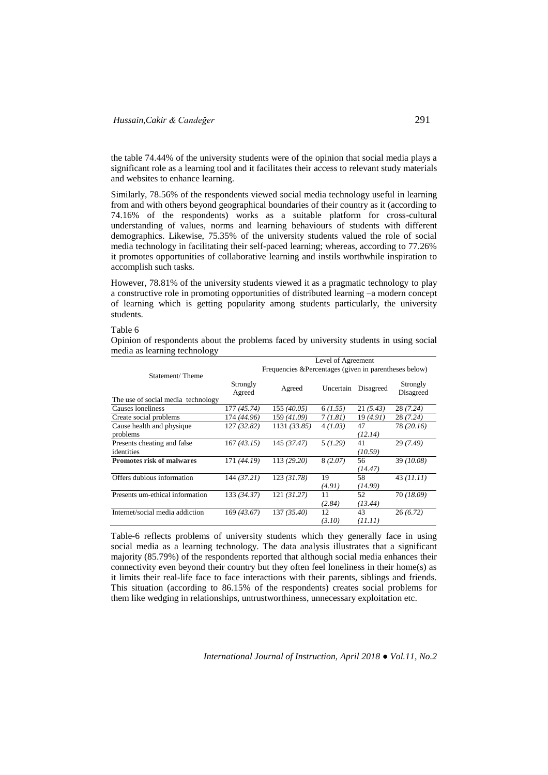the table 74.44% of the university students were of the opinion that social media plays a significant role as a learning tool and it facilitates their access to relevant study materials and websites to enhance learning.

Similarly, 78.56% of the respondents viewed social media technology useful in learning from and with others beyond geographical boundaries of their country as it (according to 74.16% of the respondents) works as a suitable platform for cross-cultural understanding of values, norms and learning behaviours of students with different demographics. Likewise, 75.35% of the university students valued the role of social media technology in facilitating their self-paced learning; whereas, according to 77.26% it promotes opportunities of collaborative learning and instils worthwhile inspiration to accomplish such tasks.

However, 78.81% of the university students viewed it as a pragmatic technology to play a constructive role in promoting opportunities of distributed learning –a modern concept of learning which is getting popularity among students particularly, the university students.

#### Table 6

Opinion of respondents about the problems faced by university students in using social media as learning technology

|                                    | Level of Agreement<br>Frequencies & Percentages (given in parentheses below) |              |           |           |                       |  |  |
|------------------------------------|------------------------------------------------------------------------------|--------------|-----------|-----------|-----------------------|--|--|
| Statement/Theme                    |                                                                              |              |           |           |                       |  |  |
|                                    | Strongly<br>Agreed                                                           | Agreed       | Uncertain | Disagreed | Strongly<br>Disagreed |  |  |
| The use of social media technology |                                                                              |              |           |           |                       |  |  |
| Causes loneliness                  | 177 (45.74)                                                                  | 155 (40.05)  | 6(1.55)   | 21(5.43)  | 28 (7.24)             |  |  |
| Create social problems             | 174 (44.96)                                                                  | 159 (41.09)  | 7(1.81)   | 19 (4.91) | 28 (7.24)             |  |  |
| Cause health and physique          | 127 (32.82)                                                                  | 1131 (33.85) | 4(1.03)   | 47        | 78 (20.16)            |  |  |
| problems                           |                                                                              |              |           | (12.14)   |                       |  |  |
| Presents cheating and false        | 167(43.15)                                                                   | 145 (37.47)  | 5(1.29)   | 41        | 29(7.49)              |  |  |
| identities                         |                                                                              |              |           | (10.59)   |                       |  |  |
| <b>Promotes risk of malwares</b>   | 171 (44.19)                                                                  | 113 (29.20)  | 8(2.07)   | 56        | 39 (10.08)            |  |  |
|                                    |                                                                              |              |           | (14.47)   |                       |  |  |
| Offers dubious information         | 144 (37.21)                                                                  | 123(31.78)   | 19        | 58        | 43(11.11)             |  |  |
|                                    |                                                                              |              | (4.91)    | (14.99)   |                       |  |  |
| Presents um-ethical information    | 133 (34.37)                                                                  | 121(31.27)   | 11        | 52        | 70 (18.09)            |  |  |
|                                    |                                                                              |              | (2.84)    | (13.44)   |                       |  |  |
| Internet/social media addiction    | 169 (43.67)                                                                  | 137 (35.40)  | 12        | 43        | 26(6.72)              |  |  |
|                                    |                                                                              |              | (3.10)    | (11.11)   |                       |  |  |

Table-6 reflects problems of university students which they generally face in using social media as a learning technology. The data analysis illustrates that a significant majority (85.79%) of the respondents reported that although social media enhances their connectivity even beyond their country but they often feel loneliness in their home(s) as it limits their real-life face to face interactions with their parents, siblings and friends. This situation (according to 86.15% of the respondents) creates social problems for them like wedging in relationships, untrustworthiness, unnecessary exploitation etc.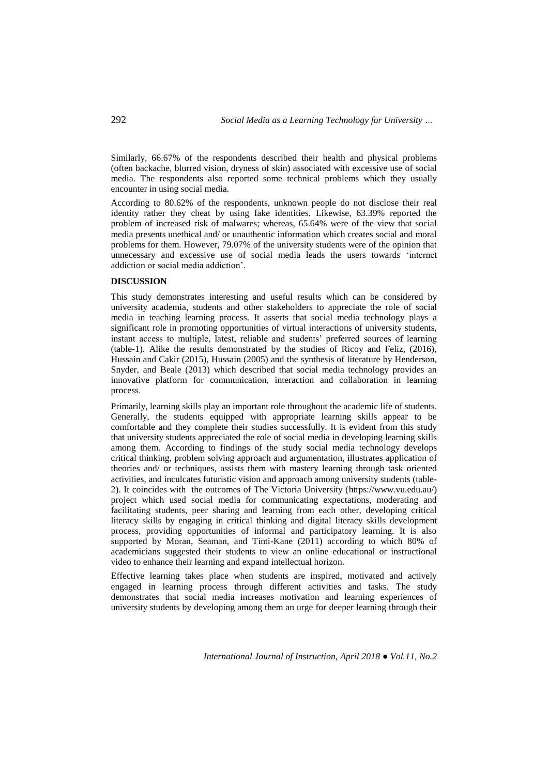Similarly, 66.67% of the respondents described their health and physical problems (often backache, blurred vision, dryness of skin) associated with excessive use of social media. The respondents also reported some technical problems which they usually encounter in using social media.

According to 80.62% of the respondents, unknown people do not disclose their real identity rather they cheat by using fake identities. Likewise, 63.39% reported the problem of increased risk of malwares; whereas, 65.64% were of the view that social media presents unethical and/ or unauthentic information which creates social and moral problems for them. However, 79.07% of the university students were of the opinion that unnecessary and excessive use of social media leads the users towards 'internet addiction or social media addiction'.

### **DISCUSSION**

This study demonstrates interesting and useful results which can be considered by university academia, students and other stakeholders to appreciate the role of social media in teaching learning process. It asserts that social media technology plays a significant role in promoting opportunities of virtual interactions of university students, instant access to multiple, latest, reliable and students' preferred sources of learning (table-1). Alike the results demonstrated by the studies of Ricoy and Feliz, (2016), Hussain and Cakir (2015), Hussain (2005) and the synthesis of literature by Henderson, Snyder, and Beale (2013) which described that social media technology provides an innovative platform for communication, interaction and collaboration in learning process.

Primarily, learning skills play an important role throughout the academic life of students. Generally, the students equipped with appropriate learning skills appear to be comfortable and they complete their studies successfully. It is evident from this study that university students appreciated the role of social media in developing learning skills among them. According to findings of the study social media technology develops critical thinking, problem solving approach and argumentation, illustrates application of theories and/ or techniques, assists them with mastery learning through task oriented activities, and inculcates futuristic vision and approach among university students (table-2). It coincides with the outcomes of The Victoria University [\(https://www.vu.edu.au/\)](https://www.vu.edu.au/) project which used social media for communicating expectations, moderating and facilitating students, peer sharing and learning from each other, developing critical literacy skills by engaging in critical thinking and digital literacy skills development process, providing opportunities of informal and participatory learning. It is also supported by Moran, Seaman, and Tinti-Kane (2011) according to which 80% of academicians suggested their students to view an online educational or instructional video to enhance their learning and expand intellectual horizon.

Effective learning takes place when students are inspired, motivated and actively engaged in learning process through different activities and tasks. The study demonstrates that social media increases motivation and learning experiences of university students by developing among them an urge for deeper learning through their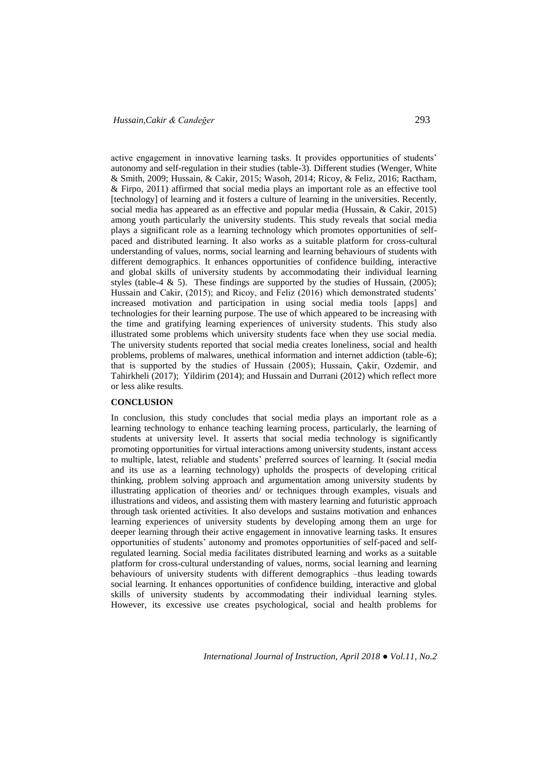active engagement in innovative learning tasks. It provides opportunities of students' autonomy and self-regulation in their studies (table-3). Different studies (Wenger, White & Smith, 2009; Hussain, & Cakir, 2015; Wasoh, 2014; Ricoy, & Feliz, 2016; Ractham, & Firpo, 2011) affirmed that social media plays an important role as an effective tool [technology] of learning and it fosters a culture of learning in the universities. Recently, social media has appeared as an effective and popular media (Hussain, & Cakir, 2015) among youth particularly the university students. This study reveals that social media plays a significant role as a learning technology which promotes opportunities of selfpaced and distributed learning. It also works as a suitable platform for cross-cultural understanding of values, norms, social learning and learning behaviours of students with different demographics. It enhances opportunities of confidence building, interactive and global skills of university students by accommodating their individual learning styles (table-4 & 5). These findings are supported by the studies of Hussain, (2005); Hussain and Cakir, (2015); and Ricoy, and Feliz (2016) which demonstrated students' increased motivation and participation in using social media tools [apps] and technologies for their learning purpose. The use of which appeared to be increasing with the time and gratifying learning experiences of university students. This study also illustrated some problems which university students face when they use social media. The university students reported that social media creates loneliness, social and health problems, problems of malwares, unethical information and internet addiction (table-6); that is supported by the studies of Hussain (2005); Hussain, Çakir, Ozdemir, and Tahirkheli (2017); Yildirim (2014); and Hussain and Durrani (2012) which reflect more or less alike results.

#### **CONCLUSION**

In conclusion, this study concludes that social media plays an important role as a learning technology to enhance teaching learning process, particularly, the learning of students at university level. It asserts that social media technology is significantly promoting opportunities for virtual interactions among university students, instant access to multiple, latest, reliable and students' preferred sources of learning. It (social media and its use as a learning technology) upholds the prospects of developing critical thinking, problem solving approach and argumentation among university students by illustrating application of theories and/ or techniques through examples, visuals and illustrations and videos, and assisting them with mastery learning and futuristic approach through task oriented activities. It also develops and sustains motivation and enhances learning experiences of university students by developing among them an urge for deeper learning through their active engagement in innovative learning tasks. It ensures opportunities of students' autonomy and promotes opportunities of self-paced and selfregulated learning. Social media facilitates distributed learning and works as a suitable platform for cross-cultural understanding of values, norms, social learning and learning behaviours of university students with different demographics –thus leading towards social learning. It enhances opportunities of confidence building, interactive and global skills of university students by accommodating their individual learning styles. However, its excessive use creates psychological, social and health problems for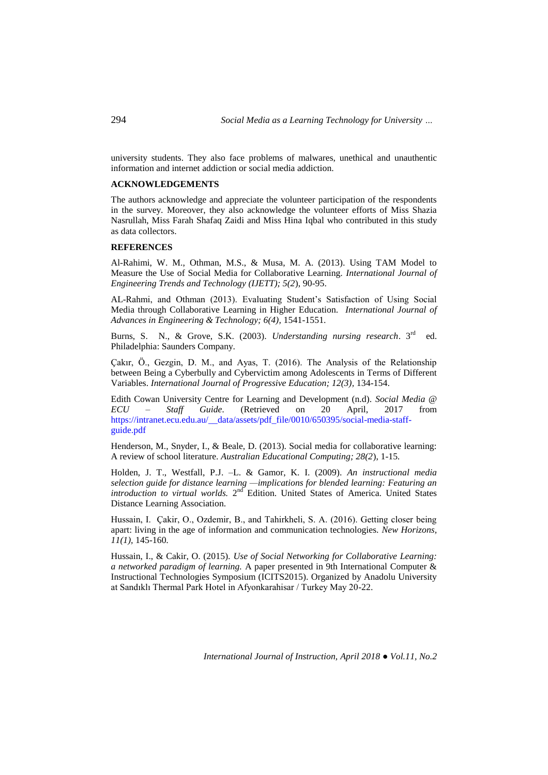university students. They also face problems of malwares, unethical and unauthentic information and internet addiction or social media addiction.

### **ACKNOWLEDGEMENTS**

The authors acknowledge and appreciate the volunteer participation of the respondents in the survey. Moreover, they also acknowledge the volunteer efforts of Miss Shazia Nasrullah, Miss Farah Shafaq Zaidi and Miss Hina Iqbal who contributed in this study as data collectors.

# **REFERENCES**

Al-Rahimi, W. M., Othman, M.S., & Musa, M. A. (2013). Using TAM Model to Measure the Use of Social Media for Collaborative Learning. *International Journal of Engineering Trends and Technology (IJETT); 5(2*), 90-95.

AL-Rahmi, and Othman (2013). Evaluating Student's Satisfaction of Using Social Media through Collaborative Learning in Higher Education. *International Journal of Advances in Engineering & Technology; 6(4),* 1541-1551.

Burns, S. N., & Grove, S.K. (2003). *Understanding nursing research*. 3rd ed. Philadelphia: Saunders Company.

Çakır, Ö., Gezgin, D. M., and Ayas, T. (2016). The Analysis of the Relationship between Being a Cyberbully and Cybervictim among Adolescents in Terms of Different Variables. *International Journal of Progressive Education; 12(3),* 134-154.

Edith Cowan University Centre for Learning and Development (n.d). *Social Media @ ECU – Staff Guide.* (Retrieved on 20 April, 2017 from [https://intranet.ecu.edu.au/\\_\\_data/assets/pdf\\_file/0010/650395/social-media-staff](https://intranet.ecu.edu.au/__data/assets/pdf_file/0010/650395/social-media-staff-guide.pdf)[guide.pdf](https://intranet.ecu.edu.au/__data/assets/pdf_file/0010/650395/social-media-staff-guide.pdf)

Henderson, M., Snyder, I., & Beale, D. (2013). Social media for collaborative learning: A review of school literature. *Australian Educational Computing; 28(2*), 1-15*.* 

Holden, J. T., Westfall, P.J. –L. & Gamor, K. I. (2009). *An instructional media selection guide for distance learning —implications for blended learning: Featuring an*  introduction to virtual worlds. 2<sup>nd</sup> Edition. United States of America. United States Distance Learning Association.

Hussain, I. Çakir, O., Ozdemir, B., and Tahirkheli, S. A. (2016). Getting closer being apart: living in the age of information and communication technologies. *New Horizons, 11(1),* 145-160*.* 

Hussain, I., & Cakir, O. (2015). *Use of Social Networking for Collaborative Learning: a networked paradigm of learning.* A paper presented in 9th International Computer & Instructional Technologies Symposium (ICITS2015). Organized by Anadolu University at Sandıklı Thermal Park Hotel in Afyonkarahisar / Turkey May 20-22.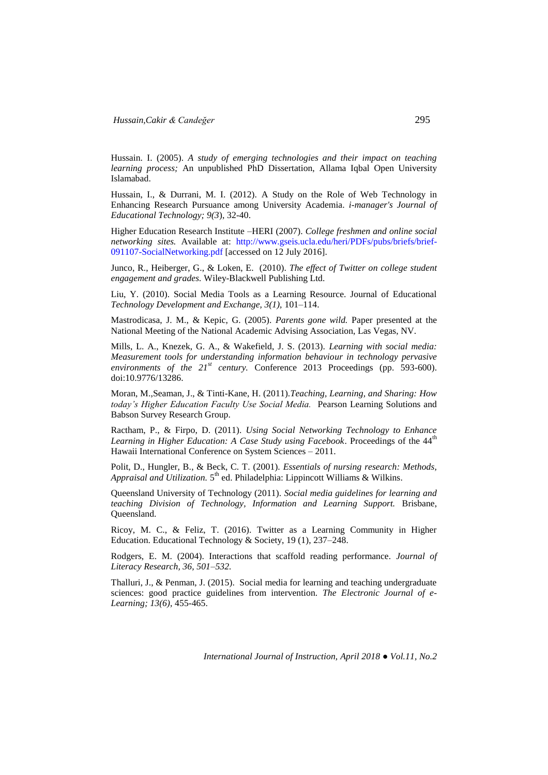Hussain. I. (2005). *A study of emerging technologies and their impact on teaching learning process;* An unpublished PhD Dissertation, Allama Iqbal Open University Islamabad.

Hussain, I., & Durrani, M. I. (2012). A Study on the Role of Web Technology in Enhancing Research Pursuance among University Academia. *i-manager's Journal of Educational Technology; 9(3*), 32-40.

Higher Education Research Institute –HERI (2007). *College freshmen and online social networking sites.* Available at: [http://www.gseis.ucla.edu/heri/PDFs/pubs/briefs/brief-](http://www.gseis.ucla.edu/heri/PDFs/pubs/briefs/brief-091107-SocialNetworking.pdf)[091107-SocialNetworking.pdf](http://www.gseis.ucla.edu/heri/PDFs/pubs/briefs/brief-091107-SocialNetworking.pdf) [accessed on 12 July 2016].

Junco, R., Heiberger, G., & Loken, E. (2010). *The effect of Twitter on college student engagement and grades.* Wiley-Blackwell Publishing Ltd.

Liu, Y. (2010). Social Media Tools as a Learning Resource. Journal of Educational *Technology Development and Exchange, 3(1),* 101–114.

Mastrodicasa, J. M., & Kepic, G. (2005). *Parents gone wild.* Paper presented at the National Meeting of the National Academic Advising Association, Las Vegas, NV.

Mills, L. A., Knezek, G. A., & Wakefield, J. S. (2013). *Learning with social media: Measurement tools for understanding information behaviour in technology pervasive environments of the 21st century.* Conference 2013 Proceedings (pp. 593-600). doi:10.9776/13286.

Moran, M.,Seaman, J., & Tinti-Kane, H. (2011).*Teaching, Learning, and Sharing: How today's Higher Education Faculty Use Social Media.* Pearson Learning Solutions and Babson Survey Research Group.

Ractham, P., & Firpo, D. (2011). *Using Social Networking Technology to Enhance Learning in Higher Education: A Case Study using Facebook.* Proceedings of the 44<sup>th</sup> Hawaii International Conference on System Sciences – 2011.

Polit, D., Hungler, B., & Beck, C. T. (2001). *Essentials of nursing research: Methods,*  Appraisal and Utilization. 5<sup>th</sup> ed. Philadelphia: Lippincott Williams & Wilkins.

Queensland University of Technology (2011). *Social media guidelines for learning and teaching Division of Technology, Information and Learning Support.* Brisbane, Queensland.

Ricoy, M. C., & Feliz, T. (2016). Twitter as a Learning Community in Higher Education. Educational Technology & Society, 19 (1), 237–248.

Rodgers, E. M. (2004). Interactions that scaffold reading performance. *Journal of Literacy Research, 36, 501–532.*

Thalluri, J., & Penman, J. (2015). Social media for learning and teaching undergraduate sciences: good practice guidelines from intervention. *The Electronic Journal of e-Learning; 13(6),* 455-465.